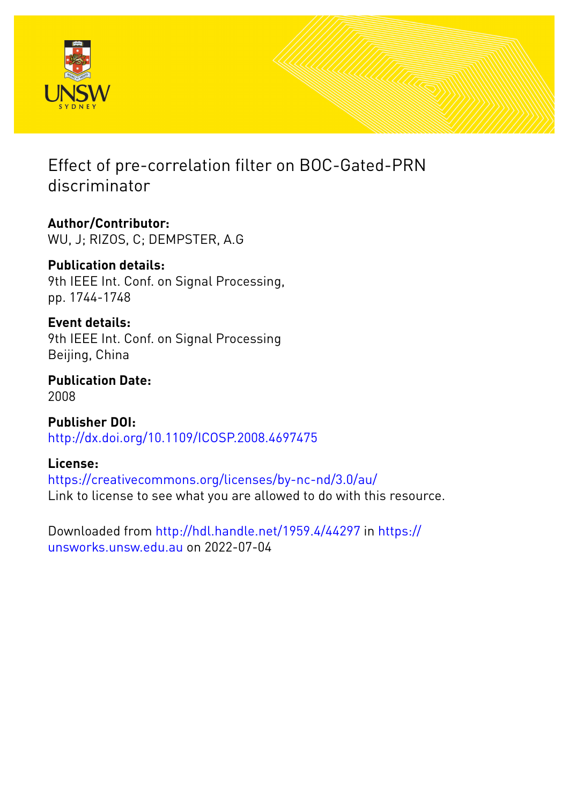

# Effect of pre-correlation filter on BOC-Gated-PRN discriminator

**Author/Contributor:** WU, J; RIZOS, C; DEMPSTER, A.G

**Publication details:** 9th IEEE Int. Conf. on Signal Processing, pp. 1744-1748

**Event details:** 9th IEEE Int. Conf. on Signal Processing Beijing, China

**Publication Date:** 2008

**Publisher DOI:** [http://dx.doi.org/10.1109/ICOSP.2008.4697475](http://dx.doi.org/http://dx.doi.org/10.1109/ICOSP.2008.4697475)

**License:** <https://creativecommons.org/licenses/by-nc-nd/3.0/au/> Link to license to see what you are allowed to do with this resource.

Downloaded from <http://hdl.handle.net/1959.4/44297> in [https://](https://unsworks.unsw.edu.au) [unsworks.unsw.edu.au](https://unsworks.unsw.edu.au) on 2022-07-04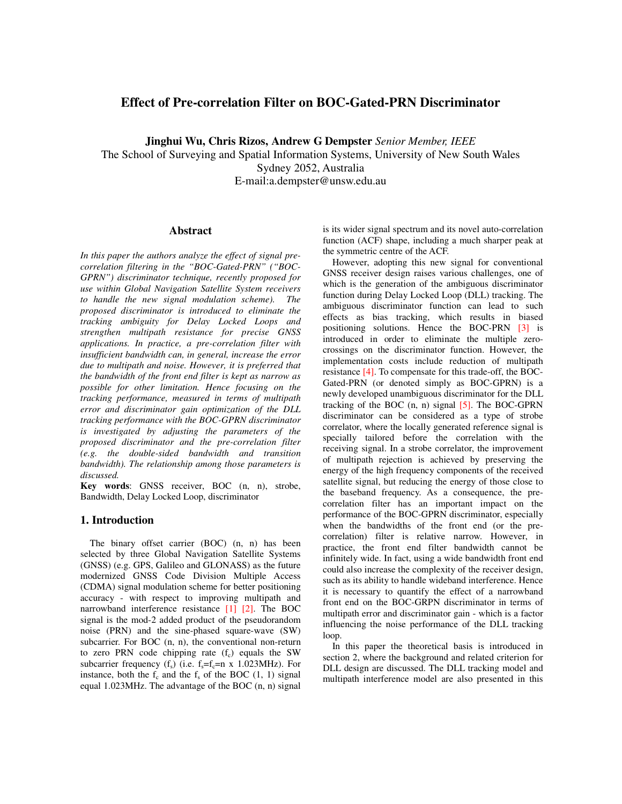# **Effect of Pre-correlation Filter on BOC-Gated-PRN Discriminator**

**Jinghui Wu, Chris Rizos, Andrew G Dempster** *Senior Member, IEEE*

The School of Surveying and Spatial Information Systems, University of New South Wales Sydney 2052, Australia E-mail:a.dempster@unsw.edu.au

# **Abstract**

*In this paper the authors analyze the effect of signal precorrelation filtering in the "BOC-Gated-PRN" ("BOC-GPRN") discriminator technique, recently proposed for use within Global Navigation Satellite System receivers to handle the new signal modulation scheme). The proposed discriminator is introduced to eliminate the tracking ambiguity for Delay Locked Loops and strengthen multipath resistance for precise GNSS applications. In practice, a pre-correlation filter with insufficient bandwidth can, in general, increase the error due to multipath and noise. However, it is preferred that the bandwidth of the front end filter is kept as narrow as possible for other limitation. Hence focusing on the tracking performance, measured in terms of multipath error and discriminator gain optimization of the DLL tracking performance with the BOC-GPRN discriminator is investigated by adjusting the parameters of the proposed discriminator and the pre-correlation filter (e.g. the double-sided bandwidth and transition bandwidth). The relationship among those parameters is discussed.*

**Key words**: GNSS receiver, BOC (n, n), strobe, Bandwidth, Delay Locked Loop, discriminator

# **1. Introduction**

The binary offset carrier (BOC) (n, n) has been selected by three Global Navigation Satellite Systems (GNSS) (e.g. GPS, Galileo and GLONASS) as the future modernized GNSS Code Division Multiple Access (CDMA) signal modulation scheme for better positioning accuracy - with respect to improving multipath and narrowband interference resistance [1] [2]. The BOC signal is the mod-2 added product of the pseudorandom noise (PRN) and the sine-phased square-wave (SW) subcarrier. For BOC (n, n), the conventional non-return to zero PRN code chipping rate  $(f_c)$  equals the SW subcarrier frequency  $(f_s)$  (i.e.  $f_s = f_c = n \times 1.023 \text{MHz}$ ). For instance, both the  $f_c$  and the  $f_s$  of the BOC (1, 1) signal equal 1.023MHz. The advantage of the BOC (n, n) signal

is its wider signal spectrum and its novel auto-correlation function (ACF) shape, including a much sharper peak at the symmetric centre of the ACF.

However, adopting this new signal for conventional GNSS receiver design raises various challenges, one of which is the generation of the ambiguous discriminator function during Delay Locked Loop (DLL) tracking. The ambiguous discriminator function can lead to such effects as bias tracking, which results in biased positioning solutions. Hence the BOC-PRN [3] is introduced in order to eliminate the multiple zerocrossings on the discriminator function. However, the implementation costs include reduction of multipath resistance [4]. To compensate for this trade-off, the BOC-Gated-PRN (or denoted simply as BOC-GPRN) is a newly developed unambiguous discriminator for the DLL tracking of the BOC  $(n, n)$  signal  $[5]$ . The BOC-GPRN discriminator can be considered as a type of strobe correlator, where the locally generated reference signal is specially tailored before the correlation with the receiving signal. In a strobe correlator, the improvement of multipath rejection is achieved by preserving the energy of the high frequency components of the received satellite signal, but reducing the energy of those close to the baseband frequency. As a consequence, the precorrelation filter has an important impact on the performance of the BOC-GPRN discriminator, especially when the bandwidths of the front end (or the precorrelation) filter is relative narrow. However, in practice, the front end filter bandwidth cannot be infinitely wide. In fact, using a wide bandwidth front end could also increase the complexity of the receiver design, such as its ability to handle wideband interference. Hence it is necessary to quantify the effect of a narrowband front end on the BOC-GRPN discriminator in terms of multipath error and discriminator gain - which is a factor influencing the noise performance of the DLL tracking loop.

In this paper the theoretical basis is introduced in section 2, where the background and related criterion for DLL design are discussed. The DLL tracking model and multipath interference model are also presented in this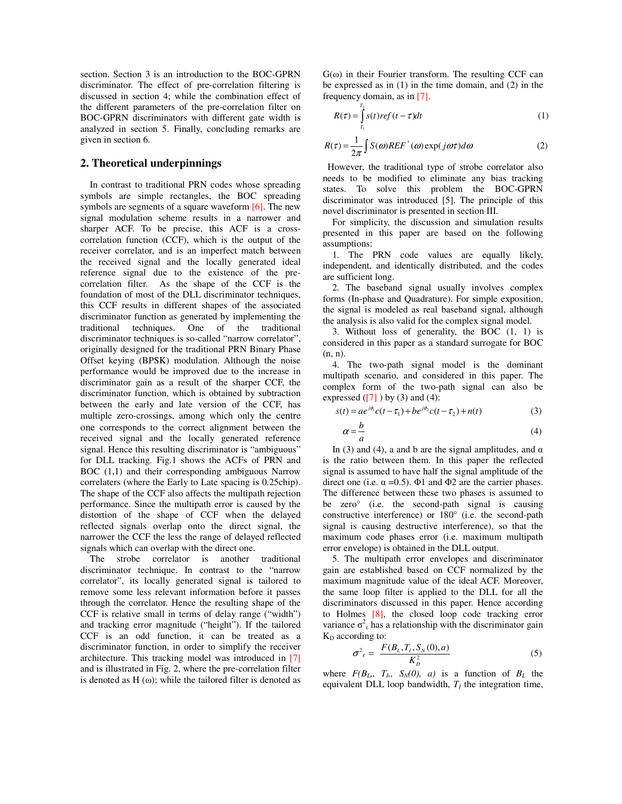section. Section 3 is an introduction to the BOC-GPRN discriminator. The effect of pre-correlation filtering is discussed in section 4; while the combination effect of the different parameters of the pre-correlation filter on BOC-GPRN discriminators with different gate width is analyzed in section 5. Finally, concluding remarks are given in section 6.

#### **2. Theoretical underpinnings**

In contrast to traditional PRN codes whose spreading symbols are simple rectangles, the BOC spreading symbols are segments of a square waveform [6]. The new signal modulation scheme results in a narrower and sharper ACF. To be precise, this ACF is a crosscorrelation function (CCF), which is the output of the receiver correlator, and is an imperfect match between the received signal and the locally generated ideal reference signal due to the existence of the precorrelation filter. As the shape of the CCF is the foundation of most of the DLL discriminator techniques, this CCF results in different shapes of the associated discriminator function as generated by implementing the traditional techniques. One of the traditional discriminator techniques is so-called "narrow correlator", originally designed for the traditional PRN Binary Phase Offset keying (BPSK) modulation. Although the noise performance would be improved due to the increase in discriminator gain as a result of the sharper CCF, the discriminator function, which is obtained by subtraction between the early and late version of the CCF, has multiple zero-crossings, among which only the centre one corresponds to the correct alignment between the received signal and the locally generated reference signal. Hence this resulting discriminator is "ambiguous" for DLL tracking. Fig.1 shows the ACFs of PRN and BOC (1,1) and their corresponding ambiguous Narrow correlaters (where the Early to Late spacing is 0.25chip). The shape of the CCF also affects the multipath rejection performance. Since the multipath error is caused by the distortion of the shape of CCF when the delayed reflected signals overlap onto the direct signal, the narrower the CCF the less the range of delayed reflected signals which can overlap with the direct one.

The strobe correlator is another traditional discriminator technique. In contrast to the "narrow correlator", its locally generated signal is tailored to remove some less relevant information before it passes through the correlator. Hence the resulting shape of the CCF is relative small in terms of delay range ("width") and tracking error magnitude ("height"). If the tailored CCF is an odd function, it can be treated as a discriminator function, in order to simplify the receiver architecture. This tracking model was introduced in [7] and is illustrated in Fig. 2, where the pre-correlation filter is denoted as  $H(\omega)$ ; while the tailored filter is denoted as

 $G(\omega)$  in their Fourier transform. The resulting CCF can be expressed as in (1) in the time domain, and (2) in the frequency domain, as in [7].

$$
R(\tau) = \int_{T_1}^{T_2} s(t) r e f(t - \tau) dt
$$
 (1)

$$
R(\tau) = \frac{1}{2\pi} \int S(\omega) REF^{\ast}(\omega) \exp(j\omega\tau) d\omega
$$
 (2)

 However, the traditional type of strobe correlator also needs to be modified to eliminate any bias tracking states. To solve this problem the BOC-GPRN discriminator was introduced [5]. The principle of this novel discriminator is presented in section III.

For simplicity, the discussion and simulation results presented in this paper are based on the following assumptions:

1. The PRN code values are equally likely, independent, and identically distributed, and the codes are sufficient long.

2. The baseband signal usually involves complex forms (In-phase and Quadrature). For simple exposition, the signal is modeled as real baseband signal, although the analysis is also valid for the complex signal model.

3. Without loss of generality, the BOC (1, 1) is considered in this paper as a standard surrogate for BOC (n, n).

4. The two-path signal model is the dominant multipath scenario, and considered in this paper. The complex form of the two-path signal can also be expressed  $([7])$  by (3) and (4):

$$
s(t) = ae^{j\phi_1}c(t - \tau_1) + be^{j\phi_2}c(t - \tau_2) + n(t)
$$
\n(3)

$$
\alpha = -\frac{b}{a} \tag{4}
$$

In (3) and (4), a and b are the signal amplitudes, and  $α$ is the ratio between them. In this paper the reflected signal is assumed to have half the signal amplitude of the direct one (i.e.  $\alpha = 0.5$ ). Φ1 and Φ2 are the carrier phases. The difference between these two phases is assumed to be zero° (i.e. the second-path signal is causing constructive interference) or 180° (i.e. the second-path signal is causing destructive interference), so that the maximum code phases error (i.e. maximum multipath error envelope) is obtained in the DLL output.

5. The multipath error envelopes and discriminator gain are established based on CCF normalized by the maximum magnitude value of the ideal ACF. Moreover, the same loop filter is applied to the DLL for all the discriminators discussed in this paper. Hence according to Holmes [8], the closed loop code tracking error variance  $\sigma^2$ <sub>ε</sub> has a relationship with the discriminator gain  $K_D$  according to:

$$
\sigma^2 \varepsilon = \frac{F(B_L, T_I, S_N(0), a)}{K_D^2} \tag{5}
$$

where  $F(B_L, T_I, S_N(0), a)$  is a function of  $B_L$  the equivalent DLL loop bandwidth,  $T_I$  the integration time,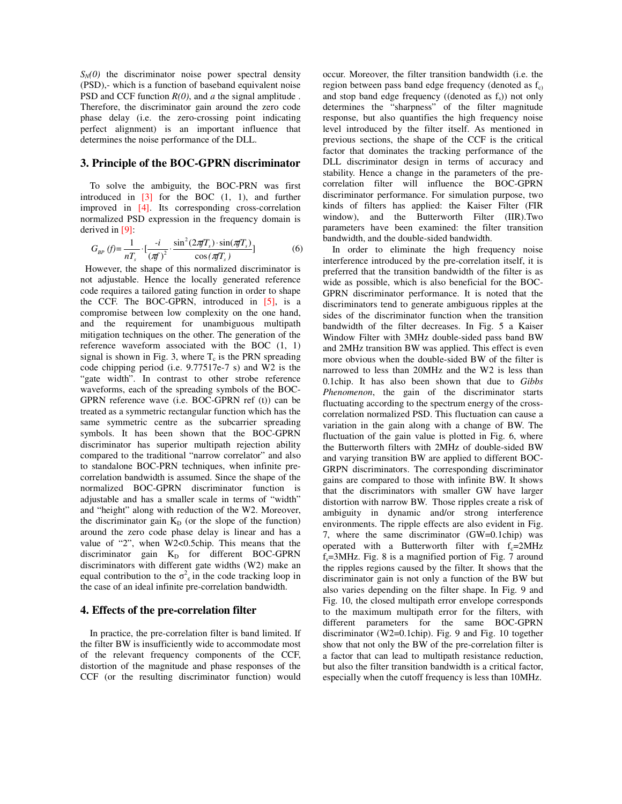$S_N(0)$  the discriminator noise power spectral density (PSD),- which is a function of baseband equivalent noise PSD and CCF function *R(0)*, and *a* the signal amplitude . Therefore, the discriminator gain around the zero code phase delay (i.e. the zero-crossing point indicating perfect alignment) is an important influence that determines the noise performance of the DLL.

#### **3. Principle of the BOC-GPRN discriminator**

To solve the ambiguity, the BOC-PRN was first introduced in  $\begin{bmatrix} 3 \end{bmatrix}$  for the BOC (1, 1), and further improved in [4]. Its corresponding cross-correlation normalized PSD expression in the frequency domain is derived in [9]:

$$
G_{BP}(f) = \frac{1}{nT_s} \cdot \left[\frac{-i}{(\pi f)^2} \cdot \frac{\sin^2(2\pi f T_s) \cdot \sin(\pi f T_s)}{\cos(\pi f T_s)}\right]
$$
(6)

 not adjustable. Hence the locally generated reference However, the shape of this normalized discriminator is code requires a tailored gating function in order to shape the CCF. The BOC-GPRN, introduced in  $[5]$ , is a compromise between low complexity on the one hand, and the requirement for unambiguous multipath mitigation techniques on the other. The generation of the reference waveform associated with the BOC (1, 1) signal is shown in Fig. 3, where  $T_c$  is the PRN spreading code chipping period (i.e. 9.77517e-7 s) and W2 is the "gate width". In contrast to other strobe reference waveforms, each of the spreading symbols of the BOC-GPRN reference wave (i.e. BOC-GPRN ref (t)) can be treated as a symmetric rectangular function which has the same symmetric centre as the subcarrier spreading symbols. It has been shown that the BOC-GPRN discriminator has superior multipath rejection ability compared to the traditional "narrow correlator" and also to standalone BOC-PRN techniques, when infinite precorrelation bandwidth is assumed. Since the shape of the normalized BOC-GPRN discriminator function is adjustable and has a smaller scale in terms of "width" and "height" along with reduction of the W2. Moreover, the discriminator gain  $K_D$  (or the slope of the function) around the zero code phase delay is linear and has a value of "2", when W2<0.5chip. This means that the discriminator gain  $K_D$  for different BOC-GPRN discriminators with different gate widths (W2) make an equal contribution to the  $\sigma^2$ <sub>ε</sub> in the code tracking loop in the case of an ideal infinite pre-correlation bandwidth.

#### **4. Effects of the pre-correlation filter**

In practice, the pre-correlation filter is band limited. If the filter BW is insufficiently wide to accommodate most of the relevant frequency components of the CCF, distortion of the magnitude and phase responses of the CCF (or the resulting discriminator function) would

occur. Moreover, the filter transition bandwidth (i.e. the region between pass band edge frequency (denoted as  $f<sub>c</sub>$ ) and stop band edge frequency ((denoted as  $f_s$ )) not only determines the "sharpness" of the filter magnitude response, but also quantifies the high frequency noise level introduced by the filter itself. As mentioned in previous sections, the shape of the CCF is the critical factor that dominates the tracking performance of the DLL discriminator design in terms of accuracy and stability. Hence a change in the parameters of the precorrelation filter will influence the BOC-GPRN discriminator performance. For simulation purpose, two kinds of filters has applied: the Kaiser Filter (FIR window), and the Butterworth Filter (IIR).Two parameters have been examined: the filter transition bandwidth, and the double-sided bandwidth.

In order to eliminate the high frequency noise interference introduced by the pre-correlation itself, it is preferred that the transition bandwidth of the filter is as wide as possible, which is also beneficial for the BOC-GPRN discriminator performance. It is noted that the discriminators tend to generate ambiguous ripples at the sides of the discriminator function when the transition bandwidth of the filter decreases. In Fig. 5 a Kaiser Window Filter with 3MHz double-sided pass band BW and 2MHz transition BW was applied. This effect is even more obvious when the double-sided BW of the filter is narrowed to less than 20MHz and the W2 is less than 0.1chip. It has also been shown that due to *Gibbs Phenomenon*, the gain of the discriminator starts fluctuating according to the spectrum energy of the crosscorrelation normalized PSD. This fluctuation can cause a variation in the gain along with a change of BW. The fluctuation of the gain value is plotted in Fig. 6, where the Butterworth filters with 2MHz of double-sided BW and varying transition BW are applied to different BOC-GRPN discriminators. The corresponding discriminator gains are compared to those with infinite BW. It shows that the discriminators with smaller GW have larger distortion with narrow BW. Those ripples create a risk of ambiguity in dynamic and/or strong interference environments. The ripple effects are also evident in Fig. 7, where the same discriminator (GW=0.1chip) was operated with a Butterworth filter with  $f_c=2MHz$  $f_s$ =3MHz. Fig. 8 is a magnified portion of Fig. 7 around the ripples regions caused by the filter. It shows that the discriminator gain is not only a function of the BW but also varies depending on the filter shape. In Fig. 9 and Fig. 10, the closed multipath error envelope corresponds to the maximum multipath error for the filters, with different parameters for the same BOC-GPRN discriminator (W2=0.1chip). Fig. 9 and Fig. 10 together show that not only the BW of the pre-correlation filter is a factor that can lead to multipath resistance reduction, but also the filter transition bandwidth is a critical factor, especially when the cutoff frequency is less than 10MHz.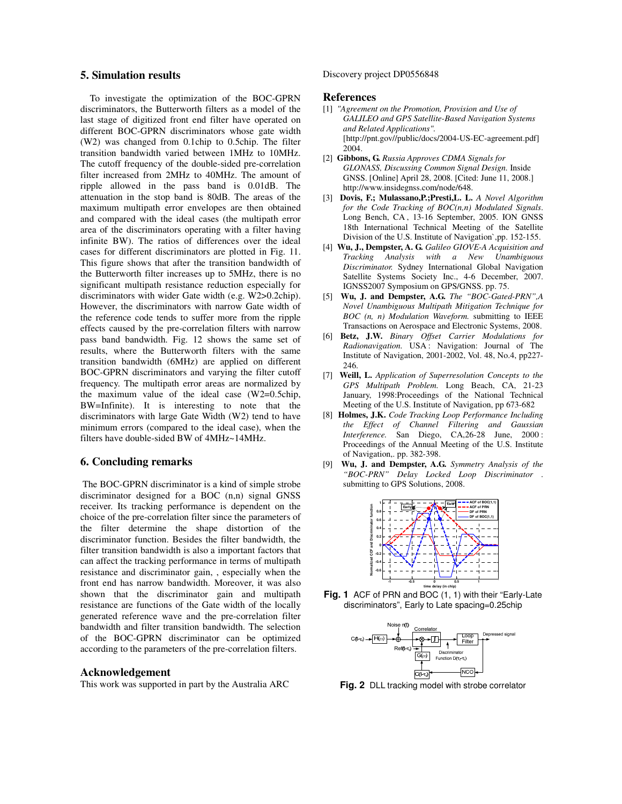# **5. Simulation results**

To investigate the optimization of the BOC-GPRN discriminators, the Butterworth filters as a model of the last stage of digitized front end filter have operated on different BOC-GPRN discriminators whose gate width (W2) was changed from 0.1chip to 0.5chip. The filter transition bandwidth varied between 1MHz to 10MHz. The cutoff frequency of the double-sided pre-correlation filter increased from 2MHz to 40MHz. The amount of ripple allowed in the pass band is 0.01dB. The attenuation in the stop band is 80dB. The areas of the maximum multipath error envelopes are then obtained and compared with the ideal cases (the multipath error area of the discriminators operating with a filter having infinite BW). The ratios of differences over the ideal cases for different discriminators are plotted in Fig. 11. This figure shows that after the transition bandwidth of the Butterworth filter increases up to 5MHz, there is no significant multipath resistance reduction especially for discriminators with wider Gate width (e.g. W2>0.2chip). However, the discriminators with narrow Gate width of the reference code tends to suffer more from the ripple effects caused by the pre-correlation filters with narrow pass band bandwidth. Fig. 12 shows the same set of results, where the Butterworth filters with the same transition bandwidth (6MHz) are applied on different BOC-GPRN discriminators and varying the filter cutoff frequency. The multipath error areas are normalized by the maximum value of the ideal case (W2=0.5chip, BW=Infinite). It is interesting to note that the discriminators with large Gate Width (W2) tend to have minimum errors (compared to the ideal case), when the filters have double-sided BW of 4MHz~14MHz.

### **6. Concluding remarks**

 The BOC-GPRN discriminator is a kind of simple strobe discriminator designed for a BOC (n,n) signal GNSS receiver. Its tracking performance is dependent on the choice of the pre-correlation filter since the parameters of the filter determine the shape distortion of the discriminator function. Besides the filter bandwidth, the filter transition bandwidth is also a important factors that can affect the tracking performance in terms of multipath resistance and discriminator gain, , especially when the front end has narrow bandwidth. Moreover, it was also shown that the discriminator gain and multipath resistance are functions of the Gate width of the locally generated reference wave and the pre-correlation filter bandwidth and filter transition bandwidth. The selection of the BOC-GPRN discriminator can be optimized according to the parameters of the pre-correlation filters.

#### **Acknowledgement**

This work was supported in part by the Australia ARC

#### Discovery project DP0556848

# **References**

- [1] *"Agreement on the Promotion, Provision and Use of GALILEO and GPS Satellite-Based Navigation Systems and Related Applications".* [http://pnt.gov//public/docs/2004-US-EC-agreement.pdf] 2004.
- [2] **Gibbons, G.** *Russia Approves CDMA Signals for GLONASS, Discussing Common Signal Design.* Inside GNSS. [Online] April 28, 2008. [Cited: June 11, 2008.] http://www.insidegnss.com/node/648.
- [3] **Dovis, F.; Mulassano,P.;Presti,L. L.** *A Novel Algorithm for the Code Tracking of BOC(n,n) Modulated Signals*. Long Bench, CA, 13-16 September, 2005. ION GNSS 18th International Technical Meeting of the Satellite Division of the U.S. Institute of Navigation`,pp. 152-155.
- [4] **Wu, J., Dempster, A. G.** *Galileo GIOVE-A Acquisition and Tracking Analysis with a New Unambiguous Discriminator.* Sydney International Global Navigation Satellite Systems Society Inc., 4-6 December, 2007. IGNSS2007 Symposium on GPS/GNSS. pp. 75.
- [5] **Wu, J. and Dempster, A.G.** *The "BOC-Gated-PRN",A Novel Unambiguous Multipath Mitigation Technique for BOC (n, n) Modulation Waveform.* submitting to IEEE Transactions on Aerospace and Electronic Systems, 2008.
- [6] **Betz, J.W.** *Binary Offset Carrier Modulations for Radionavigation.* USA : Navigation: Journal of The Institute of Navigation, 2001-2002, Vol. 48, No.4, pp227- 246.
- [7] **Weill, L.** *Application of Superresolution Concepts to the GPS Multipath Problem.* Long Beach, CA, 21-23 January, 1998:Proceedings of the National Technical Meeting of the U.S. Institute of Navigation, pp 673-682
- [8] **Holmes, J.K.** *Code Tracking Loop Performance Including the Effect of Channel Filtering and Gaussian Interference.* San Diego, CA,26-28 June, 2000 : Proceedings of the Annual Meeting of the U.S. Institute of Navigation,. pp. 382-398.
- [9] **Wu, J. and Dempster, A.G.** *Symmetry Analysis of the "BOC-PRN" Delay Locked Loop Discriminator* . submitting to GPS Solutions, 2008.



**Fig. 1** ACF of PRN and BOC (1, 1) with their "Early-Late discriminators", Early to Late spacing=0.25chip



**Fig. 2** DLL tracking model with strobe correlator